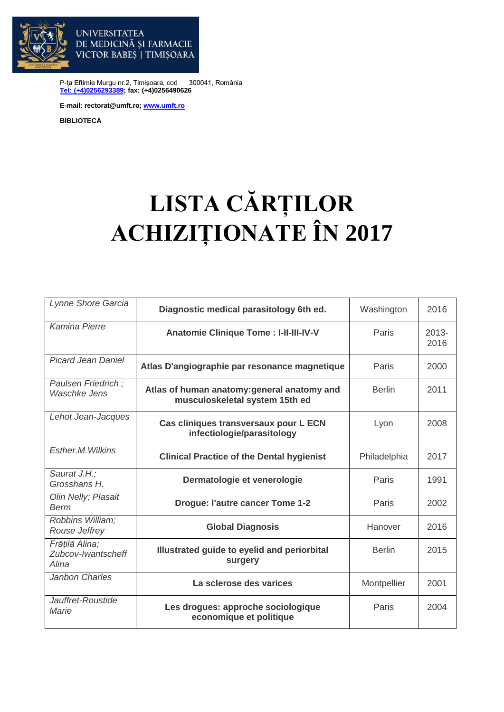

DE MEDICINĂ ȘI FARMACIE VICTOR BABES | TIMISOARA

P-ţa Eftimie Murgu nr.2, Timişoara, cod 300041, România **[Tel: \(+4\)0256293389;](tel:(40)0256293389) fax: (+4)0256490626**

**E-mail: rectorat@umft.ro; [www.umft.ro](http://www.umft.ro/)**

**UNIVERSITATEA** 

**BIBLIOTECA**

## **LISTA CĂRȚILOR ACHIZIȚIONATE ÎN 2017**

| Lynne Shore Garcia                            | Diagnostic medical parasitology 6th ed.                                       | Washington    | 2016             |
|-----------------------------------------------|-------------------------------------------------------------------------------|---------------|------------------|
| Kamina Pierre                                 | <b>Anatomie Clinique Tome: I-II-III-IV-V</b>                                  | Paris         | $2013 -$<br>2016 |
| <b>Picard Jean Daniel</b>                     | Atlas D'angiographie par resonance magnetique                                 | Paris         | 2000             |
| Paulsen Friedrich;<br><b>Waschke Jens</b>     | Atlas of human anatomy: general anatomy and<br>musculoskeletal system 15th ed | <b>Berlin</b> | 2011             |
| Lehot Jean-Jacques                            | Cas cliniques transversaux pour L ECN<br>infectiologie/parasitology           | Lyon          | 2008             |
| Esther.M. Wilkins                             | <b>Clinical Practice of the Dental hygienist</b>                              | Philadelphia  | 2017             |
| Saurat J.H.;<br>Grosshans H.                  | Dermatologie et venerologie                                                   | Paris         | 1991             |
| Olin Nelly; Plasait<br>Berm                   | <b>Drogue: l'autre cancer Tome 1-2</b>                                        | Paris         | 2002             |
| Robbins William;<br>Rouse Jeffrey             | <b>Global Diagnosis</b>                                                       | Hanover       | 2016             |
| Frățilă Alina;<br>Zubcov-Iwantscheff<br>Alina | Illustrated guide to eyelid and periorbital<br>surgery                        | <b>Berlin</b> | 2015             |
| Janbon Charles                                | La sclerose des varices                                                       | Montpellier   | 2001             |
| Jauffret-Roustide<br>Marie                    | Les drogues: approche sociologique<br>economique et politique                 | Paris         | 2004             |